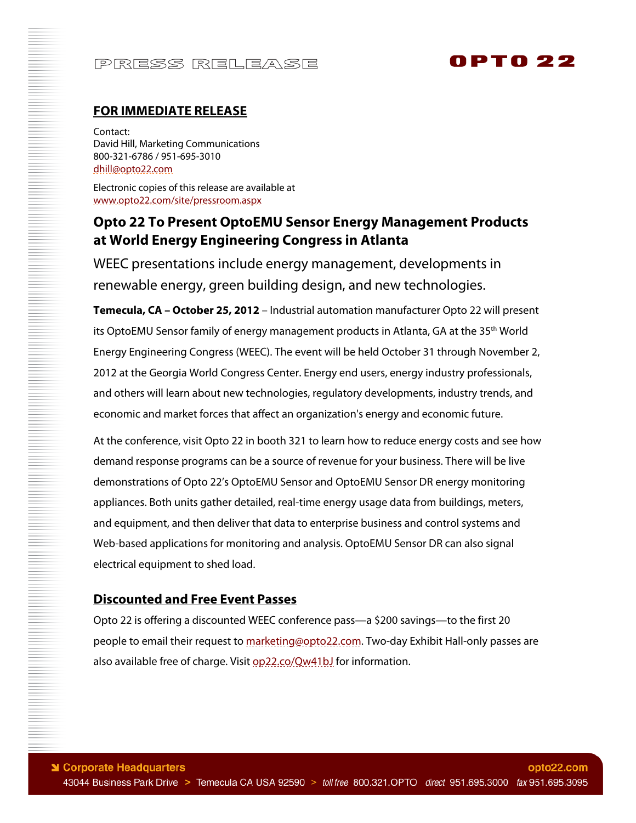# PRESS RELEASE

# 0PT0 22

### **FOR IMMEDIATE RELEASE**

Contact: David Hill, Marketing Communications 800-321-6786 / 951-695-3010 dhill@opto22.com

Electronic copies of this release are available at www.opto22.com/site/pressroom.aspx

### **Opto 22 To Present OptoEMU Sensor Energy Management Products at World Energy Engineering Congress in Atlanta**

WEEC presentations include energy management, developments in renewable energy, green building design, and new technologies.

**Temecula, CA – October 25, 2012** – Industrial automation manufacturer Opto 22 will present its OptoEMU Sensor family of energy management products in Atlanta, GA at the 35<sup>th</sup> World Energy Engineering Congress (WEEC). The event will be held October 31 through November 2, 2012 at the Georgia World Congress Center. Energy end users, energy industry professionals, and others will learn about new technologies, regulatory developments, industry trends, and economic and market forces that affect an organization's energy and economic future.

At the conference, visit Opto 22 in booth 321 to learn how to reduce energy costs and see how demand response programs can be a source of revenue for your business. There will be live demonstrations of Opto 22's OptoEMU Sensor and OptoEMU Sensor DR energy monitoring appliances. Both units gather detailed, real-time energy usage data from buildings, meters, and equipment, and then deliver that data to enterprise business and control systems and Web-based applications for monitoring and analysis. OptoEMU Sensor DR can also signal electrical equipment to shed load.

#### **Discounted and Free Event Passes**

Opto 22 is offering a discounted WEEC conference pass—a \$200 savings—to the first 20 people to email their request to marketing@opto22.com. Two-day Exhibit Hall-only passes are also available free of charge. Visit op22.co/Qw41bJ for information.